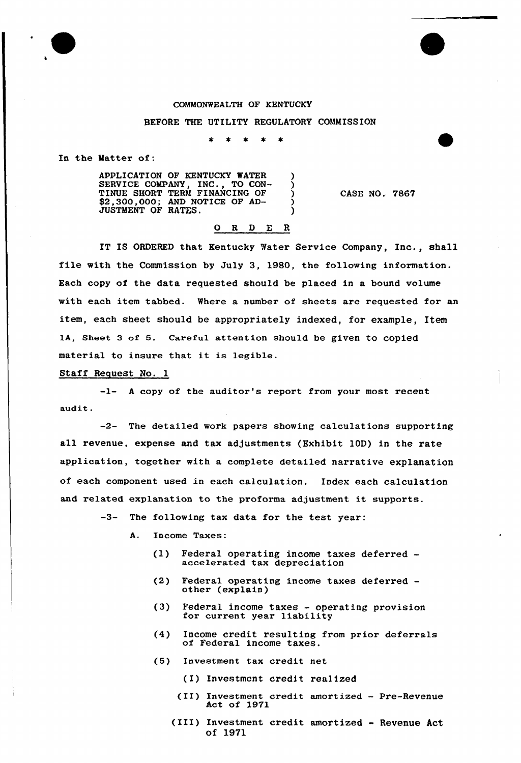### COMMONWEALTH OF KENTUCKY

#### BEFORE THE UTILITY REGULATORY COMMISSION

 $\star$  $\bullet$  $\pmb{\ast}$ 

In the Matter of:

APPLICATION OF KENTUCKY WATER SERVICE COMPANY, INC., TO CON-TINUE SHORT TERM FINANCING OF \$2,300,000; AND NOTICE OF AD-JUSTMENT OF RATES.

CASE NO. 7867

# 0 R <sup>D</sup> E <sup>R</sup>

IT IS ORDERED that Kentucky Water Service Company, Inc., shall file with the Commission by July 3, 1980, the following information. Each copy of the data requested should be placed in a bound volume with each item tabbed. Where a number of sheets are requested for an item, each sheet should be appropriately indexed, for example, Item IA, sheet 3 of 5. careful attention should be given to copied material to insure that it is legible.

### Staff Request No. 1

-1- <sup>A</sup> copy of the auditor's report from your most recent audit .

-2- The detailed work papers showing calculations supporting all revenue, expense and tax adjustments (Exhibit 10D) in the rate application, together with a complete detailed narrative explanation of each component used in each calculation. Index each calculation and related explanation to the proforma adjustment it supports.

> $-3-$ The following tax data for the test year:

- A. Income Taxes:
	- (1) Federal operating income taxes deferred— accelerated tax depreciation
	- (2) Federal operating income taxes deferred— other (explain)
	- (3) Federal income taxes operating provision for current year liability
	- (4) Income credit resulting from prior deferrals of Federal income taxes.
	- (5) Investment tax credit net
		- (I) Investmcnt credit realized
		- (II) Investment credit amortized Pre-Revenue Act of 1971
		- (III) Investment credit amortized Revenue Act of 1971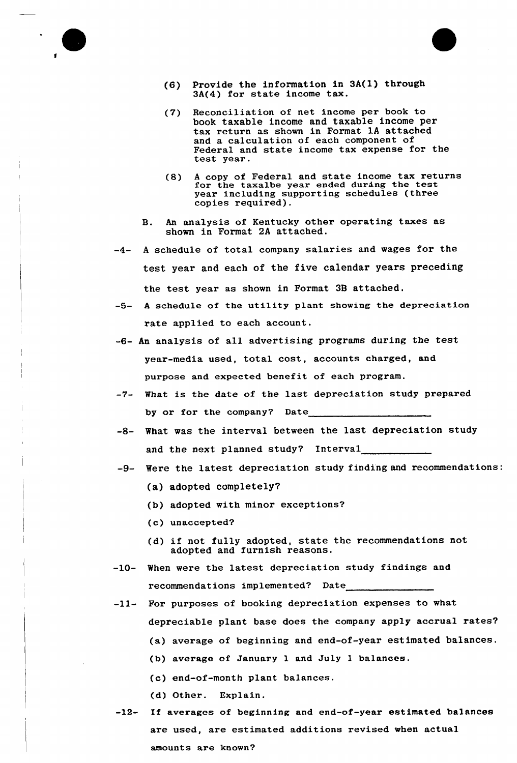

- (6) Provide the information in 3A(l) through 3A(4) for state income tax.
- (7) Reconciliation of net income per book to book taxable income and taxable income per tax return as shown in Format 1A attached and a calculation of each component of Federal and state income tax expense for the test year.
- (8) <sup>A</sup> copy of Federal and state income tax returns for the taxalbe year ended during the test year including supporting schedules (three copies required).
- B. An analysis of Kentucky other operating taxes as shown in Format 2A attached.
- -4- A schedule of total company salaries and wages for the test year and each of the five calendar years preceding the test year as shown in Format 38 attached.
- -5- A schedule of the utility plant showing the depreciation rate applied to each account.
- -6- An analysis of all advertising programs during the test year-media used, total cost, accounts charged, and purpose and expected benefit of each program.
- -7- What is the date of the last depreciation study prepared by or for the company? Date
- -8- What was the interval between the last depreciation study and the next planned study? Interval
- -9- Were the latest depreciation study finding and recommendations:
	- (a) adopted completely?
	- (b) adopted with minor exceptions?
	- {c) unaccepted?
	- (d) if not fully adopted, state the recommendations not adopted and furnish reasons.
- -10- When were the latest depreciation study findings and recommendations implemented? Date
- -ll- For purposes of booking depreciation expenses to what depreciable plant base does the company apply accrual rates?
	- (a) average of beginning and end-of-year estimated balances.
	- (b) average of January 1 and July <sup>1</sup> balances.
	- (c) end-of-month plant balances.
	- (d) Other. Explain.
- -12- If averages of beginning and end-of-year estimated balances are used, are estimated additions revised when actual amounts are known?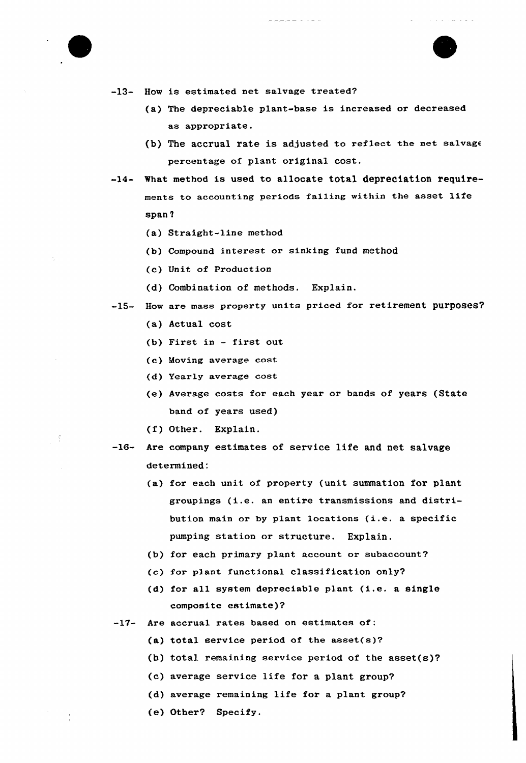

-31



-13- How is estimated net salvage treated?

- (a) The depreciable plant-base is increased or decreased as appropriate.
- (b) The accrual rate is adjusted to reflect the net salvage percentage of plant original cost.
- -14- What method is used to allocate total depreciation requirements to accounting periods falling within the asset life span 'l
	- (a) Straight-line method
	- (b) Compound interest or sinking fund method
	- (c) Unit of Production
	- (d) Combination of methods. Explain.
- -15- How are mass property units priced for retirement purposes?
	- (a) Actual cost
	- (b) First in first out
	- (c) Moving average cost
	- (d} Yearly average cost
	- (e) Average costs for each year or bands of years (State band of years used)
	- (f) Other. Explain.
- -16- Are company estimates of service life and net salvage determined:
	- (a) for each unit of property (unit summation for plant groupings (i.e. an entire transmissions and distribution main or by plant locations (i.e. <sup>a</sup> specific pumping station or structure. Explain.
	- (b) for each primary plant account or subaccount?
	- (c) for p1ant functional classification only?
	- (d) for all system depreciable plant (i.e. a single composite estimate)7
- -17- Are accrual rates based on estimates of:
	- (a) total service period of the asset $(s)$ ?
	- (b) total remaining service period of the asset(s)?
	- (c) average service life for a plant group?
	- (d) average remaining life for a plant group?
	- (e) Other? Specify.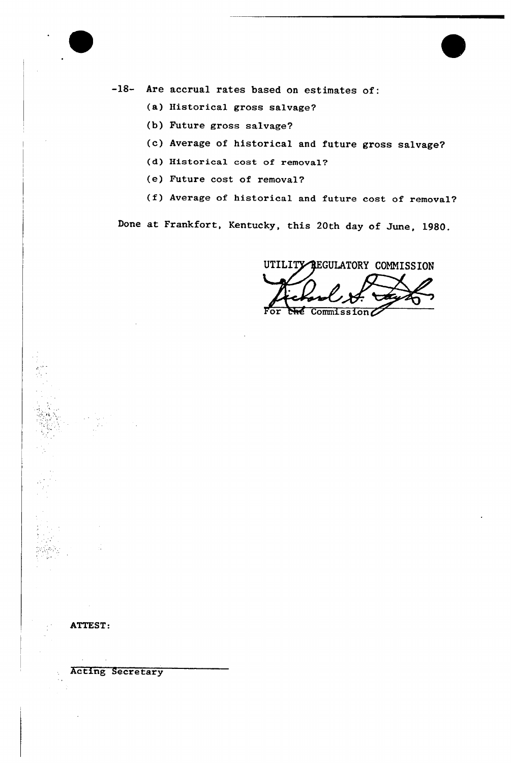

-18- Are accrual rates based on estimates of:

- (a) Historical gross salvage?
- (b) Future gross salvage?
- (c) Average of historical and future gross salvage?
- (d) Historical cost of removal?
- (e) Future cost of removal?
- (f) Average of historical and future cost of removal?

Done at Frankfort, Kentucky, this 20th day of June, 1980.

UTILITY REGULATORY COMMISSION

For  $\overline{\text{Theta}}$  Commission $\mathcal{L}$ 

ATTEST:

Acting Secretary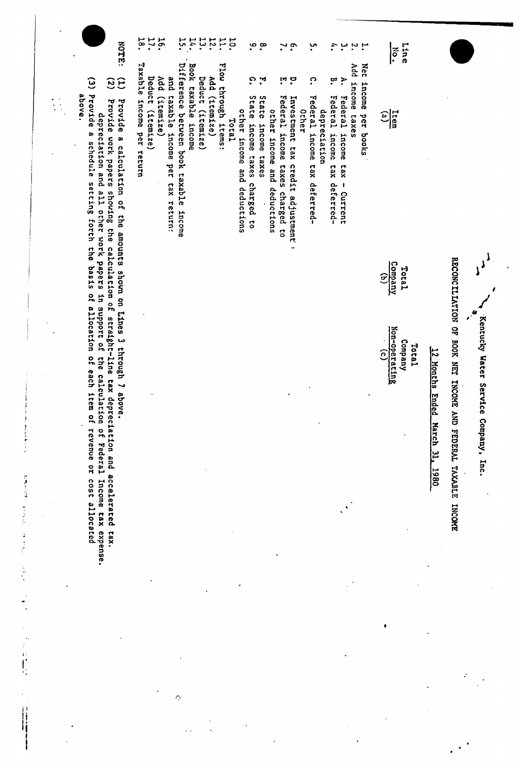| <b>NOTE:</b>                                                                                                                                                                                                                                         | $\vec{8}$<br>$\mathbf{r}$ .<br>16.<br>ì.<br>14.<br>្អ<br>12.<br>10.1<br>$\cdot$ . $\circ$<br>$\ddot{\phantom{0}}$<br>ِب.<br>₹.<br>ب<br>u u                                                                                                                                                                                                                                                                                                                                                                                                                                                                                                                                                                                                                                              | <b>Line</b><br>$\sum_{i=1}^{\infty}$                                                                                                                                    |
|------------------------------------------------------------------------------------------------------------------------------------------------------------------------------------------------------------------------------------------------------|-----------------------------------------------------------------------------------------------------------------------------------------------------------------------------------------------------------------------------------------------------------------------------------------------------------------------------------------------------------------------------------------------------------------------------------------------------------------------------------------------------------------------------------------------------------------------------------------------------------------------------------------------------------------------------------------------------------------------------------------------------------------------------------------|-------------------------------------------------------------------------------------------------------------------------------------------------------------------------|
| $\widehat{\omega}$<br>$\widetilde{33}$<br>Provide<br>above.<br>Provide work papers showing the calculation of straight-line tax depreciation and accelerated<br>Provide<br>depreciation and all other work papers<br>œ<br>schedule setting forth the | Taxable income<br>Difference between book taxable<br>Flow through items:<br>Book taxable<br>Net<br>PPV<br>Add (itemize)<br>Deduct (itemize)<br>pue<br>Add (itemize)<br>္<br>Deduct (itemize)<br>$\mathbf{F}$<br>۳<br>.<br>Ö<br>$\ddot{\cdot}$<br>$\mathbf{c}$<br>ដុ<br>Income<br>income taxes<br>taxable<br>State<br>Federal<br>State<br>Federal<br>Federal<br>Federal<br>Investment tax credit adjustment<br>depreciation<br>other income and<br>other income<br>Ocher<br>per books<br>Total<br>income<br>income<br>income taxes<br>income<br>income taxes charged to<br>income<br>per<br>income tax<br>income<br>return<br>taxes<br>ber<br><b>Cax</b><br><b>tax</b><br>and deductions<br>tax return:<br>deferred-<br>deferred-<br>charged to<br>$\mathbf{I}$<br>deductions<br>Current | $\frac{1}{\sqrt{3}}$                                                                                                                                                    |
| stsad                                                                                                                                                                                                                                                | income<br>÷,                                                                                                                                                                                                                                                                                                                                                                                                                                                                                                                                                                                                                                                                                                                                                                            | Company<br>Total<br>$\widehat{\mathbf{c}}$                                                                                                                              |
| a calculation of the amounts shown on Lines 3 through 7 above.<br>in support of<br>of allocation<br>$\frac{1}{2}$<br>the calculation of<br>each item of                                                                                              |                                                                                                                                                                                                                                                                                                                                                                                                                                                                                                                                                                                                                                                                                                                                                                                         | RECONCILIATION OF BOOK NET INCOME AND FEDERAL TAXABLE<br>4<br>Kentucky Water Service Company, Inc.<br>Non-operating<br>Company<br>Tetel<br>12 Months E<br>$\widehat{c}$ |
| revenue or<br>Federal<br>1503                                                                                                                                                                                                                        |                                                                                                                                                                                                                                                                                                                                                                                                                                                                                                                                                                                                                                                                                                                                                                                         | nded March 31,<br>1980                                                                                                                                                  |
| Income tax expense.<br>allocated<br>tax.                                                                                                                                                                                                             |                                                                                                                                                                                                                                                                                                                                                                                                                                                                                                                                                                                                                                                                                                                                                                                         | <b>INCOME</b>                                                                                                                                                           |
|                                                                                                                                                                                                                                                      |                                                                                                                                                                                                                                                                                                                                                                                                                                                                                                                                                                                                                                                                                                                                                                                         |                                                                                                                                                                         |
|                                                                                                                                                                                                                                                      | $\bigcirc$                                                                                                                                                                                                                                                                                                                                                                                                                                                                                                                                                                                                                                                                                                                                                                              |                                                                                                                                                                         |

 $\hat{\mathcal{A}}$ 

 $\ddot{\phantom{a}}$ 

→ Property Property Seconds Seconds Seconds Seconds Seconds Seconds Seconds Seconds Seconds Seconds Seconds Seconds Seconds Seconds Seconds Seconds Seconds Seconds Seconds Seconds Seconds Seconds Seconds Seconds Seconds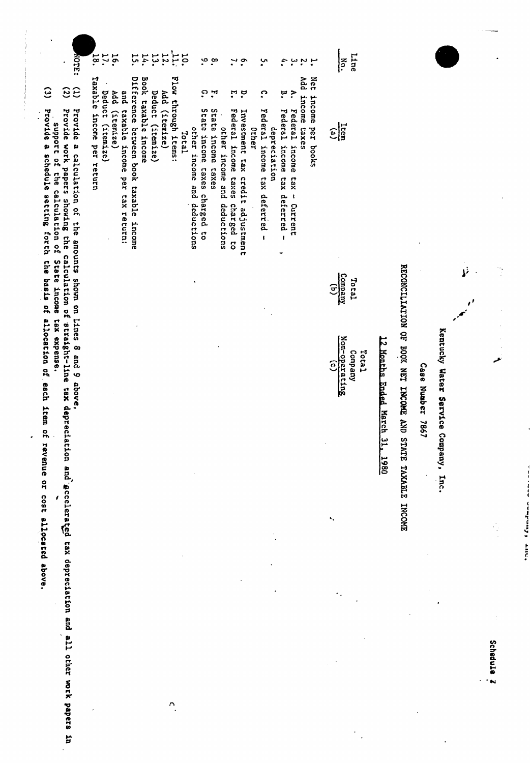| MOTE:                                                                                                                                                                                        | E.<br>$\overline{38}$                            | 16.                                                             | 14.<br>57                                                               | 13.                 | $\overline{T}$<br><b>12.</b>         | $\overline{5}$ |                                                                 | ့္ ထ                  |                             | $\ddot{\cdot}$                                                               |       | ب.                                            | 4.                               | یب<br>$\ddot{ }$                                         |                     | Line<br>$\widetilde{\widetilde{\mathcal{C}}}$      |                                               |                                                               |                     |                                      |         |            |
|----------------------------------------------------------------------------------------------------------------------------------------------------------------------------------------------|--------------------------------------------------|-----------------------------------------------------------------|-------------------------------------------------------------------------|---------------------|--------------------------------------|----------------|-----------------------------------------------------------------|-----------------------|-----------------------------|------------------------------------------------------------------------------|-------|-----------------------------------------------|----------------------------------|----------------------------------------------------------|---------------------|----------------------------------------------------|-----------------------------------------------|---------------------------------------------------------------|---------------------|--------------------------------------|---------|------------|
| $\widehat{\mathbf{e}}$<br>ි                                                                                                                                                                  |                                                  |                                                                 |                                                                         |                     |                                      |                | ္                                                               | ়                     |                             | ុង ដូ                                                                        |       | <u>ှ</u>                                      | ុង<br>•                          | Add<br>$\geq$                                            | Net                 |                                                    |                                               |                                                               |                     |                                      |         |            |
| Provide<br>Provide<br>Provide work papers showing the<br>Provide<br>support of<br>a schedule setting forth the basis of<br>a calculation of the amounts shown on Lines<br>the calculation of | Taxable income per return<br>Deduct<br>(itemize) | Pad<br>pue<br>$(x$ temize)<br>taxable income<br>per tax return: | Difference between book taxable<br>Book taxable income<br><b>income</b> | Deduct<br>(itemize) | Flow through items:<br>Add (itemize) | <b>Total</b>   | State income taxes charged to<br>other income and<br>deductions | State income<br>taxes | other income and deductions | Federal income<br>Investment tax<br>taxes<br>credit adjustment<br>charged to | Orher | Federal income tax deferred -<br>depreciation | Federal income<br>tax deferred - | income<br>Federal<br>caxes<br>income<br>xeq<br>- Current | income<br>per books | $\frac{1}{\log(1)}$                                |                                               |                                                               |                     |                                      |         |            |
| State income                                                                                                                                                                                 |                                                  |                                                                 |                                                                         |                     |                                      |                |                                                                 |                       |                             |                                                                              |       |                                               |                                  |                                                          |                     | $\frac{(d)}{(n+1)^2}$<br>Teter                     |                                               |                                                               |                     |                                      | .<br>نړ | Ğ          |
| calculation of straight-line tax depreciation and gocelerated tax depreciation and all other work papers in<br>allocation of each<br>tax expense.<br>8 and 9 above.<br>item of revenue or    |                                                  |                                                                 |                                                                         |                     |                                      |                |                                                                 |                       |                             |                                                                              |       |                                               |                                  |                                                          |                     | Non-operating<br>Company<br>Total<br>$\widehat{c}$ | 12 Months Ended March 31,<br>$\frac{1980}{1}$ | RECONCILIATION OF BOOK NET INCOME<br>AND STATE TAXABLE INCOME | Case Number<br>1981 | Kentucky Water Service Company, Inc. |         |            |
| cost allocated above.                                                                                                                                                                        |                                                  |                                                                 |                                                                         |                     |                                      |                |                                                                 |                       |                             |                                                                              |       |                                               |                                  |                                                          |                     | ٠.                                                 |                                               |                                                               |                     |                                      |         |            |
|                                                                                                                                                                                              |                                                  |                                                                 |                                                                         |                     |                                      |                |                                                                 |                       |                             |                                                                              |       |                                               |                                  |                                                          |                     |                                                    |                                               |                                                               |                     |                                      |         |            |
|                                                                                                                                                                                              |                                                  |                                                                 |                                                                         |                     |                                      |                |                                                                 |                       |                             |                                                                              |       |                                               |                                  |                                                          |                     |                                                    |                                               |                                                               |                     |                                      |         | Schadule 2 |
|                                                                                                                                                                                              |                                                  |                                                                 |                                                                         |                     | n                                    |                |                                                                 |                       |                             |                                                                              |       |                                               |                                  |                                                          |                     |                                                    |                                               |                                                               |                     |                                      |         |            |

Ì

Containt of Constitution

 $\begin{array}{c} \begin{array}{c} \begin{array}{c} \begin{array}{c} \end{array} \\ \end{array} \\ \begin{array}{c} \end{array} \\ \begin{array}{c} \end{array} \\ \begin{array}{c} \end{array} \\ \end{array} \end{array}$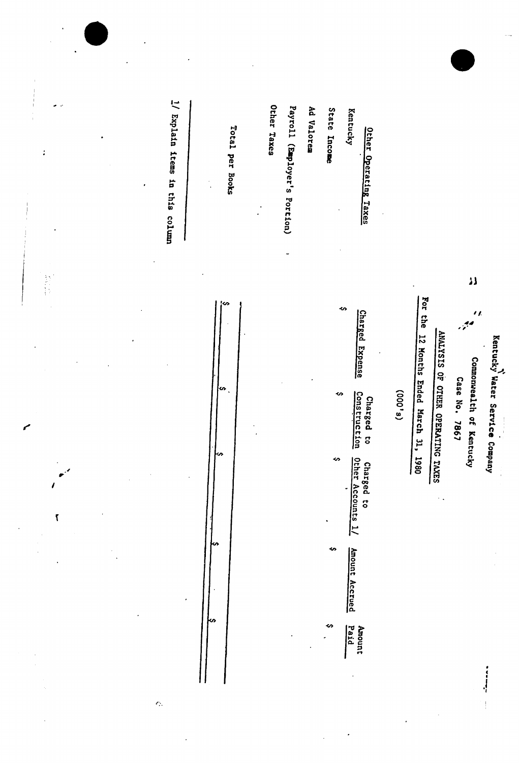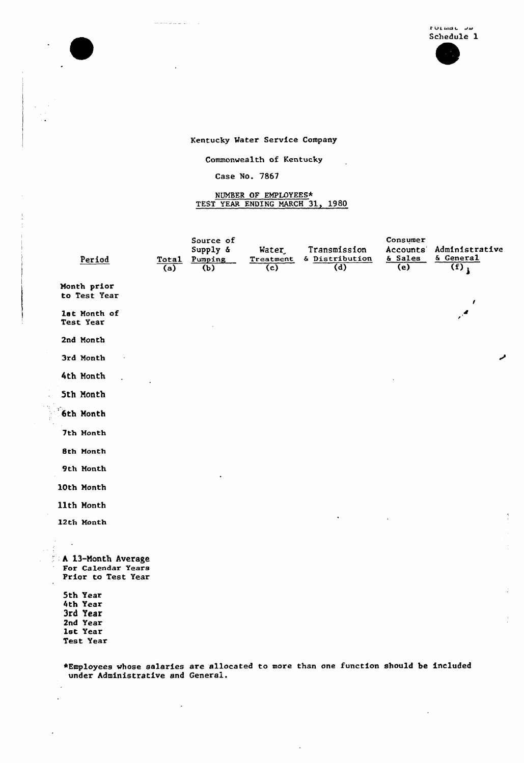$\ddot{\phantom{a}}$ 

## Kentucky Mater Service Company

Commonwealth of Kentucky

 $\mathcal{L}$ 

### Case No. 78S7

. . . . . . .

 $\frac{1}{2}$  $\ddot{z}$ 

J.

# NUMBER OF EMPLOYEES\*<br>TEST YEAR ENDING MARCH 31, 1980

| Period                                                         | Total<br>(a) | Source of<br>Supply &<br>Pumping<br>(b) | Water,<br>Treatment<br>$\overline{\mathbf{c}}$ | Transmission<br>& Distribution<br>(d) | Consumer<br>Accounts <sup>®</sup><br>& Sales<br>(e) | Administrative<br>& General<br>$\overline{(f)}$ |
|----------------------------------------------------------------|--------------|-----------------------------------------|------------------------------------------------|---------------------------------------|-----------------------------------------------------|-------------------------------------------------|
| Month prior<br>to Test Year                                    |              |                                         |                                                |                                       |                                                     | 1                                               |
| lst Month of<br>Test Year                                      |              |                                         |                                                |                                       |                                                     | $\mathcal{L}$                                   |
| 2nd Month                                                      |              |                                         |                                                |                                       |                                                     |                                                 |
| 3rd Month                                                      |              |                                         |                                                |                                       |                                                     |                                                 |
| 4th Month                                                      |              |                                         |                                                |                                       |                                                     |                                                 |
| <b>Sth Month</b>                                               |              |                                         |                                                |                                       |                                                     |                                                 |
| <b>6th Month</b>                                               |              |                                         |                                                |                                       |                                                     |                                                 |
| 7th Month                                                      |              |                                         |                                                |                                       |                                                     |                                                 |
| 8th Month                                                      |              |                                         |                                                |                                       |                                                     |                                                 |
| 9th Month                                                      |              |                                         |                                                |                                       |                                                     |                                                 |
| 10th Month                                                     |              |                                         |                                                |                                       |                                                     |                                                 |
| 11th Month                                                     |              |                                         |                                                |                                       |                                                     |                                                 |
| 12th Month                                                     |              |                                         |                                                |                                       |                                                     |                                                 |
|                                                                |              |                                         |                                                |                                       |                                                     |                                                 |
| A 13-Month Average<br>For Calendar Years<br>Prior to Test Year |              |                                         |                                                |                                       |                                                     |                                                 |
| 5th Year                                                       |              |                                         |                                                |                                       |                                                     |                                                 |
| 4th Year<br>3rd Year<br>2nd Year<br>lst Year<br>Test Year      |              |                                         |                                                |                                       |                                                     |                                                 |

\*Employees whose salaries are allocated to more than one function should be include under Administrative and General.

 $\overline{\phantom{a}}$ 

 $\mathcal{A}$